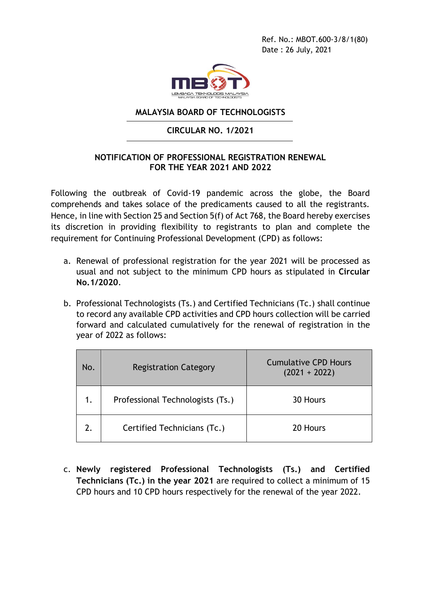Ref. No.: MBOT.600-3/8/1(80) Date : 26 July, 2021



## **MALAYSIA BOARD OF TECHNOLOGISTS**

# **CIRCULAR NO. 1/2021**

# **NOTIFICATION OF PROFESSIONAL REGISTRATION RENEWAL FOR THE YEAR 2021 AND 2022**

Following the outbreak of Covid-19 pandemic across the globe, the Board comprehends and takes solace of the predicaments caused to all the registrants. Hence, in line with Section 25 and Section 5(f) of Act 768, the Board hereby exercises its discretion in providing flexibility to registrants to plan and complete the requirement for Continuing Professional Development (CPD) as follows:

- a. Renewal of professional registration for the year 2021 will be processed as usual and not subject to the minimum CPD hours as stipulated in **Circular No.1/2020**.
- b. Professional Technologists (Ts.) and Certified Technicians (Tc.) shall continue to record any available CPD activities and CPD hours collection will be carried forward and calculated cumulatively for the renewal of registration in the year of 2022 as follows:

| No. | <b>Registration Category</b>     | <b>Cumulative CPD Hours</b><br>$(2021 + 2022)$ |
|-----|----------------------------------|------------------------------------------------|
| 1.  | Professional Technologists (Ts.) | 30 Hours                                       |
|     | Certified Technicians (Tc.)      | 20 Hours                                       |

c. **Newly registered Professional Technologists (Ts.) and Certified Technicians (Tc.) in the year 2021** are required to collect a minimum of 15 CPD hours and 10 CPD hours respectively for the renewal of the year 2022.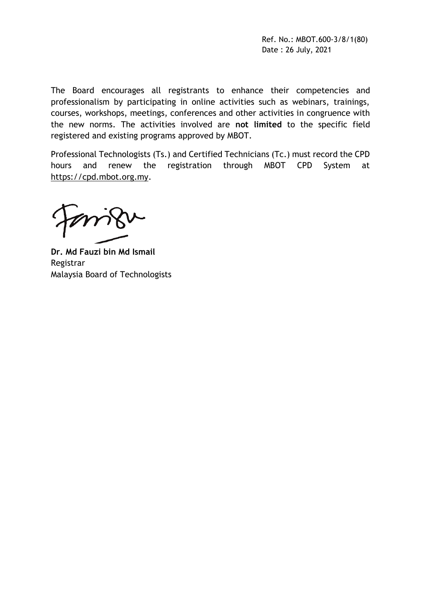Ref. No.: MBOT.600-3/8/1(80) Date : 26 July, 2021

The Board encourages all registrants to enhance their competencies and professionalism by participating in online activities such as webinars, trainings, courses, workshops, meetings, conferences and other activities in congruence with the new norms. The activities involved are **not limited** to the specific field registered and existing programs approved by MBOT.

Professional Technologists (Ts.) and Certified Technicians (Tc.) must record the CPD hours and renew the registration through MBOT CPD System at [https://cpd.mbot.org.my.](https://cpd.mbot.org.my/)

**Dr. Md Fauzi bin Md Ismail** Registrar Malaysia Board of Technologists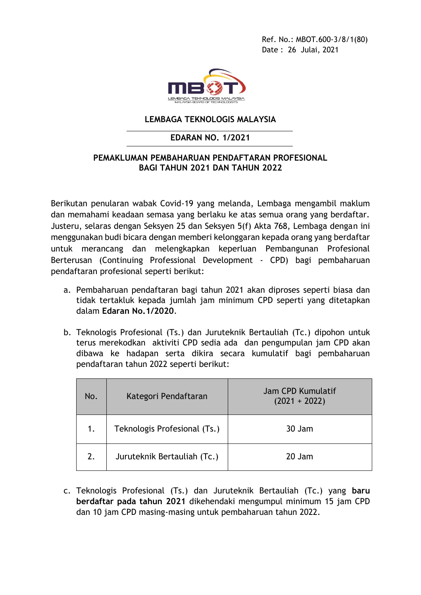Ref. No.: MBOT.600-3/8/1(80) Date : 26 Julai, 2021



#### **LEMBAGA TEKNOLOGIS MALAYSIA**

#### **EDARAN NO. 1/2021**

## **PEMAKLUMAN PEMBAHARUAN PENDAFTARAN PROFESIONAL BAGI TAHUN 2021 DAN TAHUN 2022**

Berikutan penularan wabak Covid-19 yang melanda, Lembaga mengambil maklum dan memahami keadaan semasa yang berlaku ke atas semua orang yang berdaftar. Justeru, selaras dengan Seksyen 25 dan Seksyen 5(f) Akta 768, Lembaga dengan ini menggunakan budi bicara dengan memberi kelonggaran kepada orang yang berdaftar untuk merancang dan melengkapkan keperluan Pembangunan Profesional Berterusan (Continuing Professional Development - CPD) bagi pembaharuan pendaftaran profesional seperti berikut:

- a. Pembaharuan pendaftaran bagi tahun 2021 akan diproses seperti biasa dan tidak tertakluk kepada jumlah jam minimum CPD seperti yang ditetapkan dalam **Edaran No.1/2020**.
- b. Teknologis Profesional (Ts.) dan Juruteknik Bertauliah (Tc.) dipohon untuk terus merekodkan aktiviti CPD sedia ada dan pengumpulan jam CPD akan dibawa ke hadapan serta dikira secara kumulatif bagi pembaharuan pendaftaran tahun 2022 seperti berikut:

| No. | Kategori Pendaftaran         | Jam CPD Kumulatif<br>$(2021 + 2022)$ |
|-----|------------------------------|--------------------------------------|
|     | Teknologis Profesional (Ts.) | 30 Jam                               |
| 2.  | Juruteknik Bertauliah (Tc.)  | 20 Jam                               |

c. Teknologis Profesional (Ts.) dan Juruteknik Bertauliah (Tc.) yang **baru berdaftar pada tahun 2021** dikehendaki mengumpul minimum 15 jam CPD dan 10 jam CPD masing-masing untuk pembaharuan tahun 2022.